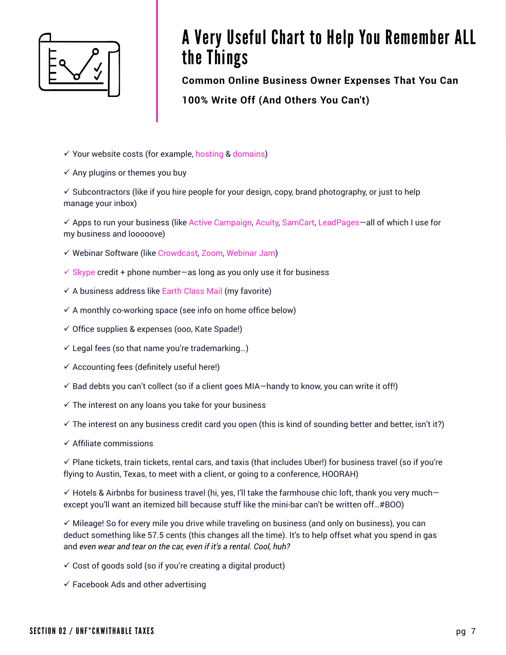

# A Very Useful Chart to Help You Remember ALL the Things

**Common Online Business Owner Expenses That You Can 100% Write Off (And Others You Can't)**

- $\checkmark$  Your website costs (for example, [hosting](https://www.bluehost.com/?utm_source=%28direct%29&utm_medium=affiliate&utm_campaign=affiliate-link_tmfproject_notype) & [domains\)](https://www.name.com/referral/22ada1)
- $\checkmark$  Any plugins or themes you buy

 $\checkmark$  Subcontractors (like if you hire people for your design, copy, brand photography, or just to help manage your inbox)

√ Apps to run your business (like [Active Campaign,](https://www.activecampaign.com) [Acuity,](https://acuityscheduling.com/?kw=YToxMTIyNzE5MQ%3D%3D) [SamCart,](https://samcart.com/?affiliate_token=qjXkbYmRvgeNVQiu) [LeadPages](https://www.leadpages.net/?utm_expid=.qtou3FYOR4aDc6C_nIsdQQ.0&utm_referrer=)-all of which I use for my business and looooove)

- $\checkmark$  Webinar Software (like [Crowdcast](https://www.crowdcast.io/?rfsn=418552.e2a6f), [Zoom,](https://zoom.us/?tt!pID=3521&tt!bD=6010366_1) [Webinar Jam](https://www.webinarjam.com))
- $\checkmark$  [Skype](https://www.skype.com/en/) credit + phone number—as long as you only use it for business
- $\checkmark$  A business address like [Earth Class Mail](https://www.earthclassmail.com) (my favorite)
- $\checkmark$  A monthly co-working space (see info on home office below)
- $\checkmark$  Office supplies & expenses (ooo, Kate Spade!)
- $\checkmark$  Legal fees (so that name you're trademarking...)
- $\checkmark$  Accounting fees (definitely useful here!)
- $\checkmark$  Bad debts you can't collect (so if a client goes MIA—handy to know, you can write it off!)
- $\checkmark$  The interest on any loans you take for your business
- $\checkmark$  The interest on any business credit card you open (this is kind of sounding better and better, isn't it?)
- $\checkmark$  Affiliate commissions

 $\checkmark$  Plane tickets, train tickets, rental cars, and taxis (that includes Uber!) for business travel (so if you're flying to Austin, Texas, to meet with a client, or going to a conference, HOORAH)

 $\checkmark$  Hotels & Airbnbs for business travel (hi, yes, I'll take the farmhouse chic loft, thank you very much except you'll want an itemized bill because stuff like the mini-bar can't be written off…#BOO)

 $\checkmark$  Mileage! So for every mile you drive while traveling on business (and only on business), you can deduct something like 57.5 cents (this changes all the time). It's to help offset what you spend in gas and *even wear and tear on the car, even if it's a rental. Cool, huh?*

- $\checkmark$  Cost of goods sold (so if you're creating a digital product)
- $\checkmark$  Facebook Ads and other advertising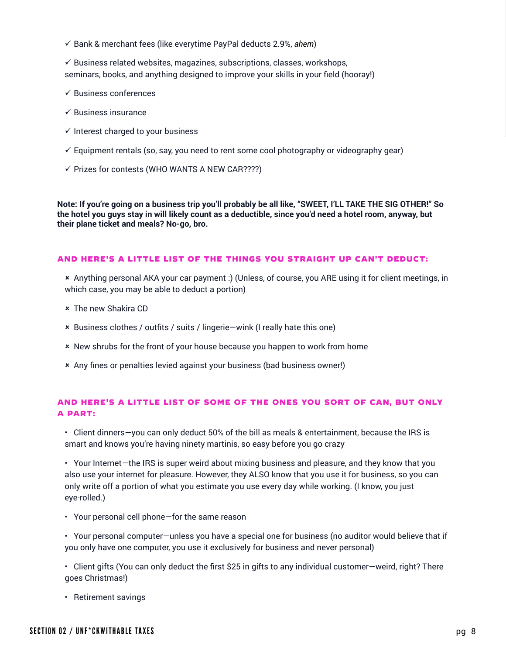ü Bank & merchant fees (like everytime PayPal deducts 2.9%, *ahem*)

 $\checkmark$  Business related websites, magazines, subscriptions, classes, workshops, seminars, books, and anything designed to improve your skills in your field (hooray!)

- $\checkmark$  Business conferences
- $\checkmark$  Business insurance
- $\checkmark$  Interest charged to your business
- $\checkmark$  Equipment rentals (so, say, you need to rent some cool photography or videography gear)
- $\checkmark$  Prizes for contests (WHO WANTS A NEW CAR????)

**Note: If you're going on a business trip you'll probably be all like, "SWEET, I'LL TAKE THE SIG OTHER!" So the hotel you guys stay in will likely count as a deductible, since you'd need a hotel room, anyway, but their plane ticket and meals? No-go, bro.**

#### And here's a little list of the things you straight up can't deduct:

û Anything personal AKA your car payment :) (Unless, of course, you ARE using it for client meetings, in which case, you may be able to deduct a portion)

- **\*** The new Shakira CD
- û Business clothes / outfits / suits / lingerie—wink (I really hate this one)
- û New shrubs for the front of your house because you happen to work from home
- û Any fines or penalties levied against your business (bad business owner!)

### And here's a little list of some of THE ones you sort of can, but only a part:

• Client dinners—you can only deduct 50% of the bill as meals & entertainment, because the IRS is smart and knows you're having ninety martinis, so easy before you go crazy

• Your Internet—the IRS is super weird about mixing business and pleasure, and they know that you also use your internet for pleasure. However, they ALSO know that you use it for business, so you can only write off a portion of what you estimate you use every day while working. (I know, you just eye-rolled.)

• Your personal cell phone—for the same reason

• Your personal computer—unless you have a special one for business (no auditor would believe that if you only have one computer, you use it exclusively for business and never personal)

• Client gifts (You can only deduct the first \$25 in gifts to any individual customer—weird, right? There goes Christmas!)

• Retirement savings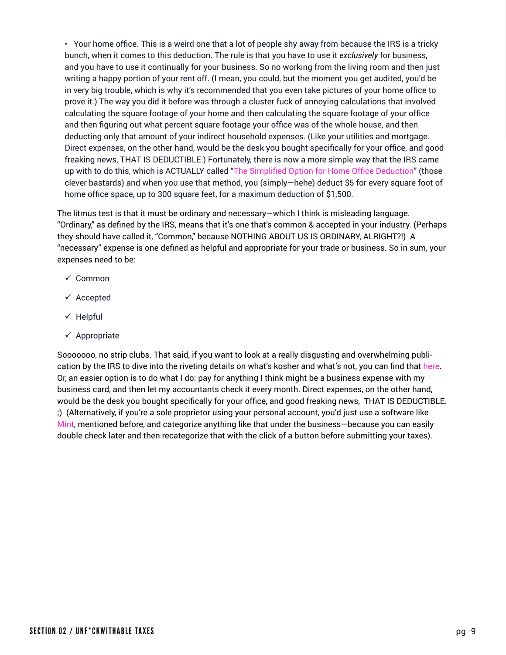• Your home office. This is a weird one that a lot of people shy away from because the IRS is a tricky bunch, when it comes to this deduction. The rule is that you have to use it *exclusively* for business, and you have to use it continually for your business. So no working from the living room and then just writing a happy portion of your rent off. (I mean, you could, but the moment you get audited, you'd be in very big trouble, which is why it's recommended that you even take pictures of your home office to prove it.) The way you did it before was through a cluster fuck of annoying calculations that involved calculating the square footage of your home and then calculating the square footage of your office and then figuring out what percent square footage your office was of the whole house, and then deducting only that amount of your indirect household expenses. (Like your utilities and mortgage. Direct expenses, on the other hand, would be the desk you bought specifically for your office, and good freaking news, THAT IS DEDUCTIBLE.) Fortunately, there is now a more simple way that the IRS came up with to do this, which is ACTUALLY called "[The Simplified Option for Home Office Deduction](https://www.irs.gov/businesses/small-businesses-self-employed/simplified-option-for-home-office-deduction)" (those clever bastards) and when you use that method, you (simply—hehe) deduct \$5 for every square foot of home office space, up to 300 square feet, for a maximum deduction of \$1,500.

The litmus test is that it must be ordinary and necessary—which I think is misleading language. "Ordinary," as defined by the IRS, means that it's one that's common & accepted in your industry. (Perhaps they should have called it, "Common," because NOTHING ABOUT US IS ORDINARY, ALRIGHT?!) A "necessary" expense is one defined as helpful and appropriate for your trade or business. So in sum, your expenses need to be:

- $\checkmark$  Common
- $\checkmark$  Accepted
- $\checkmark$  Helpful
- $\checkmark$  Appropriate

Sooooooo, no strip clubs. That said, if you want to look at a really disgusting and overwhelming publication by the IRS to dive into the riveting details on what's kosher and what's not, you can find that [here](https://www.irs.gov/publications/p535). Or, an easier option is to do what I do: pay for anything I think might be a business expense with my business card, and then let my accountants check it every month. Direct expenses, on the other hand, would be the desk you bought specifically for your office, and good freaking news, THAT IS DEDUCTIBLE. ;) (Alternatively, if you're a sole proprietor using your personal account, you'd just use a software like [Mint,](https://www.mint.com) mentioned before, and categorize anything like that under the business—because you can easily double check later and then recategorize that with the click of a button before submitting your taxes).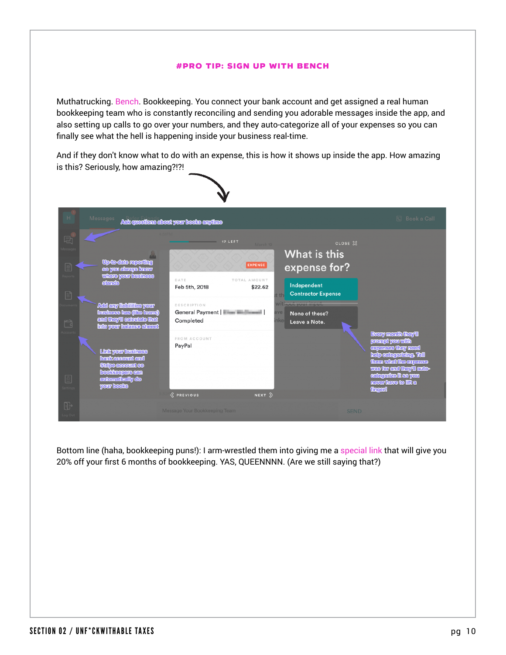#### #PRO TIP: SIGN up with Bench

Muthatrucking. [Bench.](https://bench.co/partner/middle-finger-project) Bookkeeping. You connect your bank account and get assigned a real human bookkeeping team who is constantly reconciling and sending you adorable messages inside the app, and also setting up calls to go over your numbers, and they auto-categorize all of your expenses so you can finally see what the hell is happening inside your business real-time.

And if they don't know what to do with an expense, this is how it shows up inside the app. How amazing is this? Seriously, how amazing?!?!



Bottom line (haha, bookkeeping puns!): I arm-wrestled them into giving me a [special link](https://bench.co/partner/middle-finger-project) that will give you 20% off your first 6 months of bookkeeping. YAS, QUEENNNN. (Are we still saying that?)